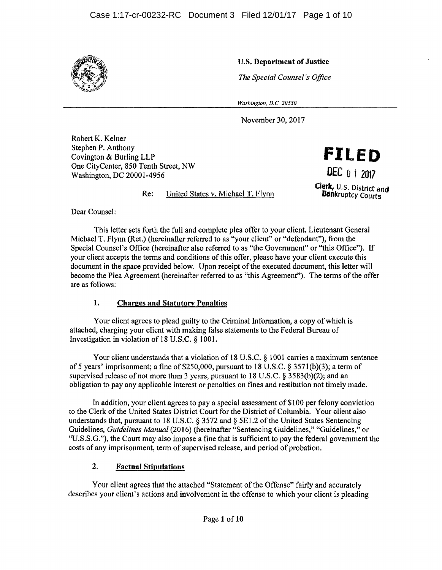

**U.S. Department of Justice** 

*The Special Counsel's Office* 

*Washington, D.C. 20530* 

November 30, 2017

Robert K. Kelner Stephen P. Anthony Covington & Burling LLP One CityCenter, 850 Tenth Street, NW Washington, DC 20001-4956

Re: United States v. Michael T. Flynn

**FILED**  DEC  $0 + 2017$ **Clerk,** U.S. District and

Dear Counsel:

This letter sets forth the full and complete plea offer to your client, Lieutenant General Michael T. Flynn (Ret.) (hereinafter referred to as "your client" or "defendant"), from the Special Counsel's Office (hereinafter also referred to as "the Government" or ''this Office"). If your client accepts the terms and conditions of this offer, please have your client execute this document in the space provided below. Upon receipt of the executed document, this letter will become the Plea Agreement (hereinafter referred to as "this Agreement"). The terms of the offer are as follows:

### **1. Charges and Statutory Penalties**

Your client agrees to plead guilty to the Criminal Information, a copy of which is attached, charging your client with making false statements to the Federal Bureau of Investigation in violation of 18 U.S.C. § 1001.

Your client understands that a violation of 18 U.S.C. § 1001 carries a maximum sentence of 5 years' imprisonment; a fine of \$250,000, pursuant to 18 U.S.C. § 3571(b)(3); a term of supervised release of not more than 3 years, pursuant to 18 U.S.C. § 3583(b)(2); and an obligation to pay any applicable interest or penalties on fines and restitution not timely made.

In addition, your client agrees to pay a special assessment of \$100 per felony conviction to the Clerk of the United States District Court for the District of Columbia. Your client also understands that, pursuant to 18 U.S.C. § 3572 and§ 5El.2 of the United States Sentencing Guidelines, *Guidelines Manual* (2016) (hereinafter "Sentencing Guidelines," "Guidelines," or "U.S.S.G."), the Court may also impose a fine that is sufficient to pay the federal government the costs of any imprisonment, term of supervised release, and period of probation.

### 2. **Factual Stipulations**

Your client agrees that the attached "Statement of the Offense" fairly and accurately describes your client's actions and involvement in the offense to which your client is pleading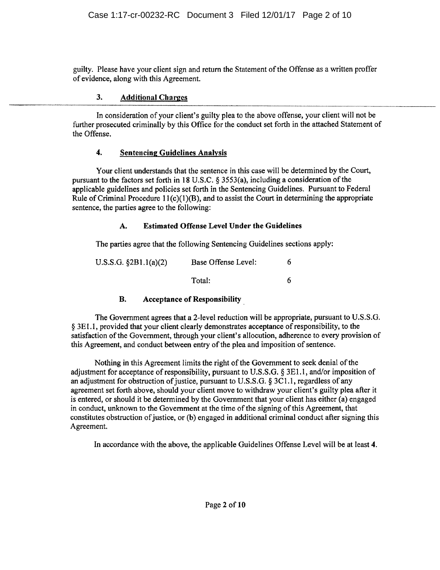guilty. Please have your client sign and return the Statement of the Offense as a written proffer of evidence, along with this Agreement.

### 3. **Additional Charges**

In consideration of your client's guilty plea to the above offense, your client will not be further prosecuted criminally by this Office for the conduct set forth in the attached Statement of the Offense.

### **4. Sentencing Guidelines Analysis**

Your client understands that the sentence in this case will be determined by the Court, pursuant to the factors set forth in 18 U.S.C.  $\S 3553(a)$ , including a consideration of the applicable guidelines and policies set forth in the Sentencing Guidelines. Pursuant to Federal Rule of Criminal Procedure  $11(c)(1)(B)$ , and to assist the Court in determining the appropriate sentence, the parties agree to the following:

### **A. Estimated Offense Level Under the Guidelines**

The parties agree that the following Sentencing Guidelines sections apply:

| U.S.S.G. $\S 2B1.1(a)(2)$ | Base Offense Level: | 6. |
|---------------------------|---------------------|----|
|                           | Total:              | 6. |

### **B. Acceptance of Responsibility**

The Government agrees that a 2-level reduction will be appropriate, pursuant to U.S.S.G. § 3E 1.1, provided that your client clearly demonstrates acceptance of responsibility, to the satisfaction of the Government, through your client's allocution, adherence to every provision of this Agreement, and conduct between entry of the plea and imposition of sentence.

Nothing in this Agreement limits the right of the Government to seek denial of the adjustment for acceptance of responsibility, pursuant to U.S.S.G. § 3El. l, and/or imposition of an adjustment for obstruction of justice, pursuant to U.S.S.G. § 3C 1.1, regardless of any agreement set forth above, should your client move to withdraw your client's guilty plea after it is entered, or should it be determined by the Government that your client has either (a) engaged in conduct, unknown to the Government at the time of the signing of this Agreement, that constitutes obstruction of justice, or (b) engaged in additional criminal conduct after signing this Agreement.

In accordance with the above, the applicable Guidelines Offense Level will be at least **4.**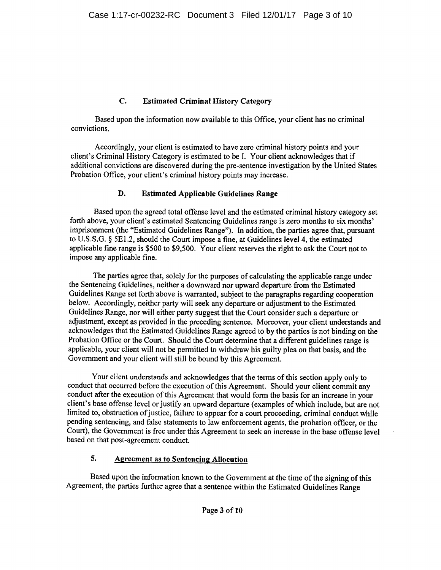# **C. Estimated Criminal History Category**

Based upon the information now available to this Office, your client has no criminal convictions.

Accordingly, your client is estimated to have zero criminal history points and your client's Criminal History Category is estimated to be I. Your client acknowledges that if additional convictions are discovered during the pre-sentence investigation by the United States Probation Office, your client's criminal history points may increase.

### **D. Estimated Applicable Guidelines Range**

Based upon the agreed total offense level and the estimated criminal history category set forth above, your client's estimated Sentencing Guidelines range is zero months to six months' imprisonment (the "Estimated Guidelines Range"). In addition, the parties agree that, pursuant to U.S.S.G. § SEI .2, should the Court impose a fine, at Guidelines level 4, the estimated applicable fine range is \$500 to \$9,500. Your client reserves the right to ask the Court not to impose any applicable fine.

The parties agree that, solely for the purposes of calculating the applicable range under the Sentencing Guidelines, neither a downward nor upward departure from the Estimated Guidelines Range set forth above is warranted, subject to the paragraphs regarding cooperation below. Accordingly, neither party will seek any departure or adjustment to the Estimated Guidelines Range, nor will either party suggest that the Court consider such a departure or adjustment, except as provided in the preceding sentence. Moreover, your client understands and acknowledges that the Estimated Guidelines Range agreed to by the parties is not binding on the Probation Office or the Court. Should the Court determine that a different guidelines range is applicable, your client will not be permitted to withdraw his guilty plea on that basis, and the Government and your client will still be bound by this Agreement.

Your client understands and acknowledges that the terms of this section apply only to conduct that occurred before the execution of this Agreement. Should your client commit any conduct after the execution of this Agreement that would form the basis for an increase in your client's base offense level or justify an upward departure (examples of which include, but are not limited to, obstruction of justice, failure to appear for a court proceeding, criminal conduct while pending sentencing, and false statements to law enforcement agents, the probation officer, or the Court), the Government is free under this Agreement to seek an increase in the base offense level based on that post-agreement conduct.

# 5. **Agreement as to Sentencing Allocution**

Based upon the information known to the Government at the time of the signing of this Agreement, the parties further agree that a sentence within the Estimated Guidelines Range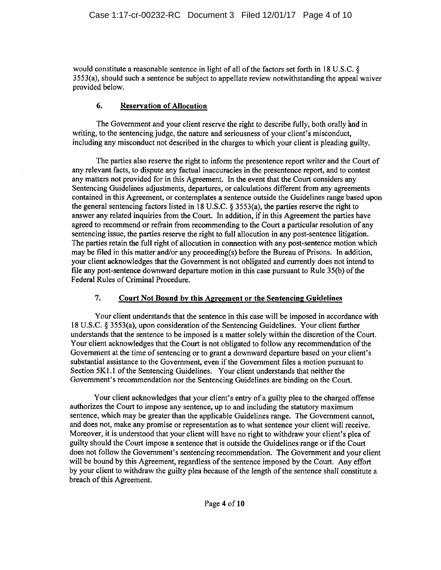would constitute a reasonable sentence in light of all of the factors set forth in 18 U.S.C. § 3553(a), should such a sentence be subject to appellate review notwithstanding the appeal waiver provided below.

#### **6. Reservation of Allocution**

The Government and your client reserve the right to describe fully, both orally and in writing, to the sentencing judge, the nature and seriousness of your client's misconduct, including any misconduct not described in the charges to which your client is pleading guilty.

The parties also reserve the right to inform the presentence report writer and the Court of any relevant facts, to dispute any factual inaccuracies in the presentence report, and to contest any matters not provided for in this Agreement. In the event that the Court considers any Sentencing Guidelines adjustments, departures, or calculations different from any agreements contained in this Agreement, or contemplates a sentence outside the Guidelines range based upon the general sentencing factors listed in 18 U.S.C. § 3553(a), the parties reserve the right to answer any related inquiries from the Court. In addition, if in this Agreement the parties have agreed to recommend or refrain from recommending to the Court a particular resolution of any sentencing issue, the parties reserve the right to full allocution in any post-sentence litigation. The parties retain the full right of allocution in connection with any post-sentence motion which may be filed in this matter and/or any proceeding(s) before the Bureau of Prisons. In addition, your client acknowledges that the Government is not obligated and currently does not intend to file any post-sentence downward departure motion in this case pursuant to Rule 35(b) of the Federal Rules of Criminal Procedure.

### 7. Court Not Bound bv this Agreement or the Sentencing Guidelines

Your client understands that the sentence in this case will be imposed in accordance with 18 U.S.C. § 3553(a), upon consideration of the Sentencing Guidelines. Your client further understands that the sentence to be imposed is a matter solely within the discretion of the Court. Your client acknowledges that the Court is not obligated to follow any recommendation of the Government at the time of sentencing or to grant a downward departure based on your client's substantial assistance to the Government, even if the Government files a motion pursuant to Section *5K* 1.1 of the Sentencing Guidelines. Your client understands that neither the Government's recommendation nor the Sentencing Guidelines are binding on the Court.

Your client acknowledges that your client's entry of a guilty plea to the charged offense authorizes the Court to impose any sentence, up to and including the statutory maximum sentence, which may be greater than the applicable Guidelines range. The Government cannot, and does not, make any promise or representation as to what sentence your client will receive. Moreover, it is understood that your client will have no right to withdraw your client's plea of guilty should the Court impose a sentence that is outside the Guidelines range or if the Court does not follow the Government's sentencing recommendation. The Government and your client will be bound by this Agreement, regardless of the sentence imposed by the Court. Any effort by your client to withdraw the guilty plea because of the length of the sentence shall constitute a breach of this Agreement.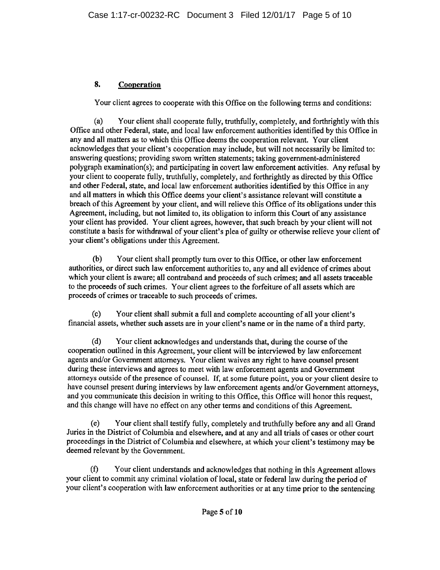# **8. Cooperation**

Your client agrees to cooperate with this Office on the following terms and conditions:

(a) Your client shall cooperate fully, truthfully, completely, and forthrightly with this Office and other Federal, state, and local law enforcement authorities identified by this Office in any and all matters as to which this Office deems the cooperation relevant. Your client acknowledges that your client's cooperation may include, but will not necessarily be limited to: answering questions; providing sworn written statements; taking government-administered polygraph examination(s); and participating in covert law enforcement activities. Any refusal by your client to cooperate fully, truthfully, completely, and forthrightly as directed by this Office and other Federal, state, and local law enforcement authorities identified by this Office in any and all matters in which this Office deems your client's assistance relevant will constitute a breach of this Agreement by your client, and will relieve this Office of its obligations under this Agreement, including, but not limited to, its obligation to inform this Court of any assistance your client has provided. Your client agrees, however, that such breach by your client will not constitute a basis for withdrawal of your client's plea of guilty or otherwise relieve your client of your client's obligations under this Agreement.

(b) Your client shall promptly turn over to this Office, or other law enforcement authorities, or direct such law enforcement authorities to, any and all evidence of crimes about which your client is aware; all contraband and proceeds of such crimes; and all assets traceable to the proceeds of such crimes. Your client agrees to the forfeiture of all assets which are proceeds of crimes or traceable to such proceeds of crimes.

( c) Your client shall submit a full and complete accounting of all your client's financial assets, whether such assets are in your client's name or in the name of a third party.

( d) Your client acknowledges and understands that, during the course of the cooperation outlined in this Agreement, your client will be interviewed by law enforcement agents and/or Government attorneys. Your client waives any right to have counsel present during these interviews and agrees to meet with law enforcement agents and Government attorneys outside of the presence of counsel. If, at some future point, you or your client desire to have counsel present during interviews by law enforcement agents and/or Government attorneys, and you communicate this decision in writing to this Office, this Office will honor this request, and this change will have no effect on any other terms and conditions of this Agreement.

( e) Your client shall testify fully, completely and truthfully before any and all Grand Juries in the District of Columbia and elsewhere, and at any and all trials of cases or other court proceedings in the District of Columbia and elsewhere, at which your client's testimony may be deemed relevant by the Government.

(f) Your client understands and acknowledges that nothing in this Agreement allows your client to commit any criminal violation of local, state or federal law during the period of your client's cooperation with law enforcement authorities or at any time prior to the sentencing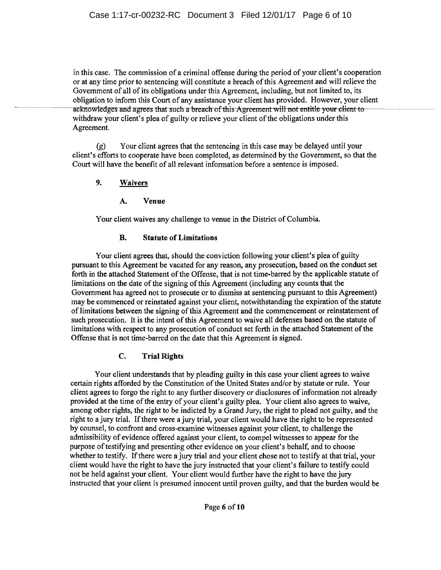in this case. The commission of a criminal offense during the period of your client's cooperation or at any time prior to sentencing will constitute a breach of this Agreement and will relieve the Government of all of its obligations under this Agreement, including, but not limited to, its obligation to inform this Court of any assistance your client has provided. However, your client acknowledges and agrees that such a breach of this Agreement will not entitle your client to withdraw your client's plea of guilty or relieve your client of the obligations under this Agreement.

(g) Your client agrees that the sentencing in this case may be delayed until your client's efforts to cooperate have been completed, as determined by the Government, so that the Court will have the benefit of all relevant information before a sentence is imposed.

- **9. Waivers** 
	- **A. Venue**

Your client waives any challenge to venue in the District of Columbia.

#### **B. Statute of Limitations**

Your client agrees that, should the conviction following your client's plea of guilty pursuant to this Agreement be vacated for any reason, any prosecution, based on the conduct set forth in the attached Statement of the Offense, that is not time-barred by the applicable statute of limitations on the date of the signing of this Agreement (including any counts that the Government has agreed not to prosecute or to dismiss at sentencing pursuant to this Agreement) may be commenced or reinstated against your client, notwithstanding the expiration of the statute of limitations between the signing of this Agreement and the commencement or reinstatement of such prosecution. It is the intent of this Agreement to waive all defenses based on the statute of limitations with respect to any prosecution of conduct set forth in the attached Statement of the Offense that is not time-barred on the date that this Agreement is signed.

### **C. Trial Rights**

Your client understands that by pleading guilty in this case your client agrees to waive certain rights afforded by the Constitution of the United States and/or by statute or rule. Your client agrees to forgo the right to any further discovery or disclosures of information not already provided at the time of the entry of your client's guilty plea. Your client also agrees to waive, among other rights, the right to be indicted by a Grand Jury, the right to plead not guilty, and the right to a jury trial. If there were a jury trial, your client would have the right to be represented by counsel, to confront and cross-examine witnesses against your client, to challenge the admissibility of evidence offered against your client, to compel witnesses to appear for the purpose of testifying and presenting other evidence on your client's behalf, and to choose whether to testify. If there were a jury trial and your client chose not to testify at that trial, your client would have the right to have the jury instructed that your client's failure to testify could not be held against your client. Your client would further have the right to have the jury instructed that your client is presumed innocent until proven guilty, and that the burden would be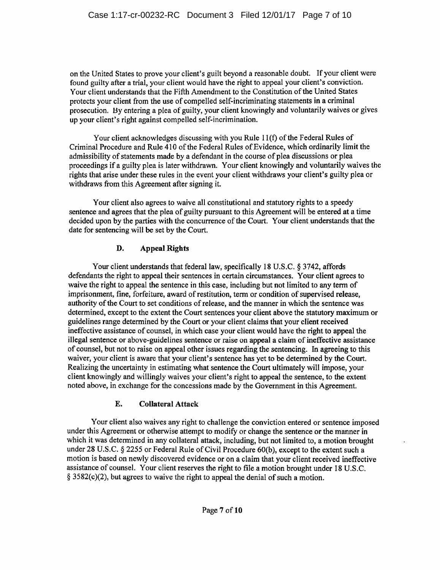on the United States to prove your client's guilt beyond a reasonable doubt. If your client were found guilty after a trial, your client would have the right to appeal your client's conviction. Your client understands that the Fifth Amendment to the Constitution of the United States protects your client from the use of compelled self-incriminating statements in a criminal prosecution. Hy entering a plea of guilty, your client knowingly and voluntarily waives or gives up your client's right against compelled self-incrimination.

Your client acknowledges discussing with you Rule l l(f) of the Federal Rules of Criminal Procedure and Rule 410 of the Federal Rules of Evidence, which ordinarily limit the admissibility of statements made by a defendant in the course of plea discussions or plea proceedings if a guilty plea is later withdrawn. Your client knowingly and voluntarily waives the rights that arise under these rules in the event your client withdraws your client's guilty plea or withdraws from this Agreement after signing it.

Your client also agrees to waive all constitutional and statutory rights to a speedy sentence and agrees that the plea of guilty pursuant to this Agreement will be entered at a time decided upon by the parties with the concurrence of the Court. Your client understands that the date for sentencing will be set by the Court.

### **D. Appeal Rights**

Your client understands that federal law, specifically 18 U.S.C. § 3742, affords defendants the right to appeal their sentences in certain circumstances. Your client agrees to waive the right to appeal the sentence in this case, including but not limited to any term of imprisonment, fine, forfeiture, award of restitution, term or condition of supervised release, authority of the Court to set conditions of release, and the manner in which the sentence was determined, except to the extent the Court sentences your client above the statutory maximum or guidelines range determined by the Court or your client claims that your client received ineffective assistance of counsel, in which case your client would have the right to appeal the illegal sentence or above-guidelines sentence or raise on appeal a claim of ineffective assistance of counsel, but not to raise on appeal other issues regarding the sentencing. In agreeing to this waiver, your client is aware that your client's sentence has yet to be determined by the Court. Realizing the uncertainty in estimating what sentence the Court ultimately will impose, your client knowingly and willingly waives your client's right to appeal the sentence, to the extent noted above, in exchange for the concessions made by the Government in this Agreement.

### **E. Collateral Attack**

Your client also waives any right to challenge the conviction entered or sentence imposed under this Agreement or otherwise attempt to modify or change the sentence or the manner in which it was determined in any collateral attack, including, but not limited to, a motion brought under 28 U.S.C. § 2255 or Federal Rule of Civil Procedure 60(b), except to the extent such a motion is based on newly discovered evidence or on a claim that your client received ineffective assistance of counsel. Your client reserves the right to file a motion brought under 18 U.S.C.  $\S$  3582(c)(2), but agrees to waive the right to appeal the denial of such a motion.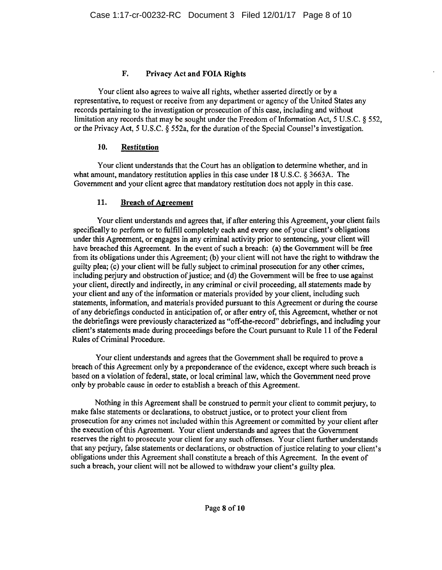### F. **Privacy Act and FOIA Rights**

Your client also agrees to waive all rights, whether asserted directly or by a representative, to request or receive from any department or agency of the United States any records pertaining to the investigation or prosecution of this case, including and without limitation any records that may be sought under the Freedom of Information Act, 5 U.S.C. § 552, or the Privacy Act, 5 U.S.C. § 552a, for the duration of the Special Counsel's investigation.

### **10. Restitution**

Your client understands that the Court has an obligation to determine whether, and in what amount, mandatory restitution applies in this case under 18 U.S.C. § 3663A. The Government and your client agree that mandatory restitution does not apply in this case.

# 11. **Breach of Agreement**

Your client understands and agrees that, if after entering this Agreement, your client fails specifically to perform or to fulfill completely each and every one of your client's obligations under this Agreement, or engages in any criminal activity prior to sentencing, your client will have breached this Agreement. In the event of such a breach: (a) the Government will be free from its obligations under this Agreement; (b) your client will not have the right to withdraw the guilty plea; (c) your client will be fully subject to criminal prosecution for any other crimes, including perjury and obstruction of justice; and (d) the Government will be free to use against your client, directly and indirectly, in any criminal or civil proceeding, all statements made by your client and any of the information or materials provided by your client, including such statements, information, and materials provided pursuant to this Agreement or during the course of any debriefings conducted *in* anticipation of, or after entry of, this Agreement, whether or not the debriefings were previously characterized as "off-the-record" debriefings, and including your client's statements made during proceedings before the Court pursuant to Rule 11 of the Federal Rules of Criminal Procedure.

Your client understands and agrees that the Government shall be required to prove a breach of this Agreement only by a preponderance of the evidence, except where such breach is based on a violation of federal, state, or local criminal law, which the Government need prove only by probable cause in order to establish a breach of this Agreement.

Nothing in this Agreement shall be construed to permit your client to commit perjury, to make false statements or declarations, to obstruct justice, or to protect your client from prosecution for any crimes not included within this Agreement or committed by your client after the execution of this Agreement. Your client understands and agrees that the Government reserves the right to prosecute your client for any such offenses. Your client further understands that any perjury, false statements or declarations, or obstruction of justice relating to your client's obligations under this Agreement shall constitute a breach of this Agreement. In the event of such a breach, your client will not be allowed to withdraw your client's guilty plea.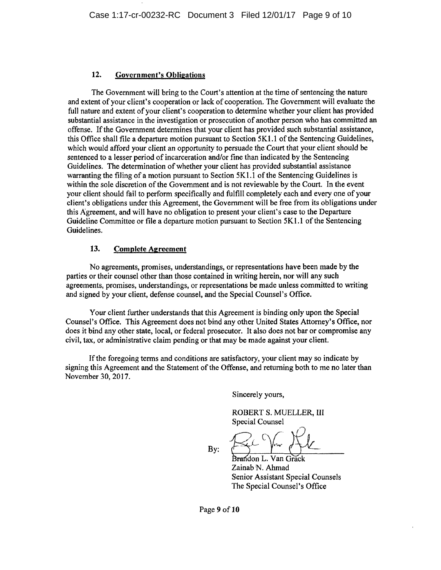#### **12. Government's Obligations**

The Government will bring to the Court's attention at the time of sentencing the nature and extent of your client's cooperation or lack of cooperation. The Government will evaluate the full nature and extent of your client's cooperation to determine whether your client has provided substantial assistance in the investigation or prosecution of another person who has committed an offense. If the Government determines that your client has provided such substantial assistance, this Office shall file a departure motion pursuant to Section 5Kl.1 of the Sentencing Guidelines, which would afford your client an opportunity to persuade the Court that your client should be sentenced to a lesser period of incarceration and/or fine than indicated by the Sentencing Guidelines. The determination of whether your client has provided substantial assistance warranting the filing of a motion pursuant to Section 5K 1.1 of the Sentencing Guidelines is within the sole discretion of the Government and is not reviewable by the Court. In the event your client should fail to perform specifically and fulfill completely each and every one of your client's obligations under this Agreement, the Government will be free from its obligations under this Agreement, and will have no obligation to present your client's case to the Departure Guideline Committee or file a departure motion pursuant to Section 5Kl.1 of the Sentencing Guidelines.

#### **13. Complete Agreement**

No agreements, promises, understandings, or representations have been made by the parties or their counsel other than those contained in writing herein, nor will any such agreements, promises, understandings, or representations be made unless committed to writing and signed by your client, defense counsel, and the Special Counsel's Office.

Your client further understands that this Agreement is binding only upon the Special Counsel's Office. This Agreement does not bind any other United States Attorney's Office, nor does it bind any other state, local, or federal prosecutor. It also does not bar or compromise any civil, tax, or administrative claim pending or that may be made against your client.

If the foregoing terms and conditions are satisfactory, your client may so indicate by signing this Agreement and the Statement of the Offense, and returning both to me no later than November 30, 2017.

Sincerely yours,

ROBERT S. MUELLER, III Special Counsel

special Counsel<br>By:  $\frac{1}{2}$   $\frac{1}{2}$   $\frac{1}{2}$ 

Brandon L. Van Grack Zainab N. Ahmad Senior Assistant Special Counsels The Special Counsel's Office

Page 9 of 10